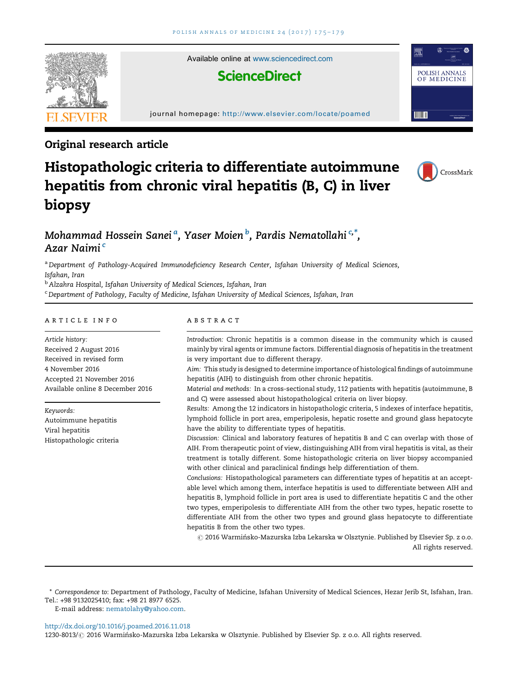

# Original research article

# Histopathologic criteria to differentiate autoimmune hepatitis from chronic viral hepatitis (B, C) in liver biopsy



# Mohammad Hossein Sanei <sup>a</sup>. Yaser Moien <sup>b</sup>. Pardis Nematollahi <sup>c,\*</sup>. Azar Naimi <sup>c</sup>

a Department of Pathology-Acquired Immunodeficiency Research Center, Isfahan University of Medical Sciences, Isfahan, Iran

<sup>b</sup> Alzahra Hospital, Isfahan University of Medical Sciences, Isfahan, Iran

<sup>c</sup> Department of Pathology, Faculty of Medicine, Isfahan University of Medical Sciences, Isfahan, Iran

#### article info

Article history: Received 2 August 2016 Received in revised form 4 November 2016 Accepted 21 November 2016 Available online 8 December 2016

Keywords: Autoimmune hepatitis Viral hepatitis Histopathologic criteria

# abstract

Introduction: Chronic hepatitis is a common disease in the community which is caused mainly by viral agents or immune factors. Differential diagnosis of hepatitis in the treatment is very important due to different therapy.

Aim: This study is designed to determine importance of histological findings of autoimmune hepatitis (AIH) to distinguish from other chronic hepatitis.

Material and methods: In a cross-sectional study, 112 patients with hepatitis (autoimmune, B and C) were assessed about histopathological criteria on liver biopsy.

Results: Among the 12 indicators in histopathologic criteria, 5 indexes of interface hepatitis, lymphoid follicle in port area, emperipolesis, hepatic rosette and ground glass hepatocyte have the ability to differentiate types of hepatitis.

Discussion: Clinical and laboratory features of hepatitis B and C can overlap with those of AIH. From therapeutic point of view, distinguishing AIH from viral hepatitis is vital, as their treatment is totally different. Some histopathologic criteria on liver biopsy accompanied with other clinical and paraclinical findings help differentiation of them.

Conclusions: Histopathological parameters can differentiate types of hepatitis at an acceptable level which among them, interface hepatitis is used to differentiate between AIH and hepatitis B, lymphoid follicle in port area is used to differentiate hepatitis C and the other two types, emperipolesis to differentiate AIH from the other two types, hepatic rosette to differentiate AIH from the other two types and ground glass hepatocyte to differentiate hepatitis B from the other two types.

 $\odot$  2016 Warmińsko-Mazurska Izba Lekarska w Olsztynie. Published by Elsevier Sp. z o.o. All rights reserved.

\* Correspondence to: Department of Pathology, Faculty of Medicine, Isfahan University of Medical Sciences, Hezar Jerib St, Isfahan, Iran. Tel.: +98 9132025410; fax: +98 21 8977 6525.

E-mail address: [nematolahy@yahoo.com](mailto:nematolahy@yahoo.com).

<http://dx.doi.org/10.1016/j.poamed.2016.11.018>

1230-8013/ @ 2016 Warmińsko-Mazurska Izba Lekarska w Olsztynie. Published by Elsevier Sp. z o.o. All rights reserved.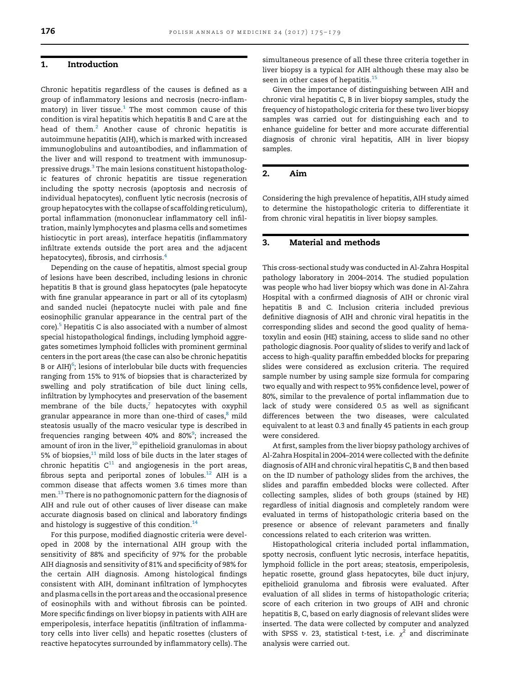### 1. Introduction

Chronic hepatitis regardless of the causes is defined as a group of inflammatory lesions and necrosis (necro-inflam- $\frac{1}{2}$  $\frac{1}{2}$  $\frac{1}{2}$  matory) in liver tissue.<sup>1</sup> The most common cause of this condition is viral hepatitis which hepatitis B and C are at the head of them.<sup>[2](#page-4-0)</sup> Another cause of chronic hepatitis is autoimmune hepatitis (AIH), which is marked with increased immunoglobulins and autoantibodies, and inflammation of the liver and will respond to treatment with immunosup-pressive drugs.<sup>[3](#page-4-0)</sup> The main lesions constituent histopathologic features of chronic hepatitis are tissue regeneration including the spotty necrosis (apoptosis and necrosis of individual hepatocytes), confluent lytic necrosis (necrosis of group hepatocytes with the collapse of scaffolding reticulum), portal inflammation (mononuclear inflammatory cell infiltration, mainly lymphocytes and plasma cells and sometimes histiocytic in port areas), interface hepatitis (inflammatory infiltrate extends outside the port area and the adjacent hepatocytes), fibrosis, and cirrhosis.<sup>[4](#page-4-0)</sup>

Depending on the cause of hepatitis, almost special group of lesions have been described, including lesions in chronic hepatitis B that is ground glass hepatocytes (pale hepatocyte with fine granular appearance in part or all of its cytoplasm) and sanded nuclei (hepatocyte nuclei with pale and fine eosinophilic granular appearance in the central part of the core).<sup>5</sup> Hepatitis C is also associated with a number of almost special histopathological findings, including lymphoid aggregates sometimes lymphoid follicles with prominent germinal centers in the port areas (the case can also be chronic hepatitis B or  $AHJ<sup>6</sup>$  $AHJ<sup>6</sup>$  $AHJ<sup>6</sup>$ ; lesions of interlobular bile ducts with frequencies ranging from 15% to 91% of biopsies that is characterized by swelling and poly stratification of bile duct lining cells, infiltration by lymphocytes and preservation of the basement membrane of the bile ducts, $^7$  hepatocytes with oxyphil granular appearance in more than one-third of cases,<sup>[8](#page-4-0)</sup> mild steatosis usually of the macro vesicular type is described in frequencies ranging between 40% and 80%<sup>9</sup>; increased the amount of iron in the liver, $10$  epithelioid granulomas in about 5% of biopsies, $11$  mild loss of bile ducts in the later stages of chronic hepatitis  $C^{11}$  $C^{11}$  $C^{11}$  and angiogenesis in the port areas, fibrous septa and periportal zones of lobules. $^{12}$  $^{12}$  $^{12}$  AIH is a common disease that affects women 3.6 times more than men[.13](#page-4-0) There is no pathognomonic pattern for the diagnosis of AIH and rule out of other causes of liver disease can make accurate diagnosis based on clinical and laboratory findings and histology is suggestive of this condition. $14$ 

For this purpose, modified diagnostic criteria were developed in 2008 by the international AIH group with the sensitivity of 88% and specificity of 97% for the probable AIH diagnosis and sensitivity of 81% and specificity of 98% for the certain AIH diagnosis. Among histological findings consistent with AIH, dominant infiltration of lymphocytes and plasma cells in the port areas and the occasional presence of eosinophils with and without fibrosis can be pointed. More specific findings on liver biopsy in patients with AIH are emperipolesis, interface hepatitis (infiltration of inflammatory cells into liver cells) and hepatic rosettes (clusters of reactive hepatocytes surrounded by inflammatory cells). The

simultaneous presence of all these three criteria together in liver biopsy is a typical for AIH although these may also be seen in other cases of hepatitis.<sup>[15](#page-4-0)</sup>

Given the importance of distinguishing between AIH and chronic viral hepatitis C, B in liver biopsy samples, study the frequency of histopathologic criteria for these two liver biopsy samples was carried out for distinguishing each and to enhance guideline for better and more accurate differential diagnosis of chronic viral hepatitis, AIH in liver biopsy samples.

# 2. Aim

Considering the high prevalence of hepatitis, AIH study aimed to determine the histopathologic criteria to differentiate it from chronic viral hepatitis in liver biopsy samples.

#### 3. Material and methods

This cross-sectional study was conducted in Al-Zahra Hospital pathology laboratory in 2004–2014. The studied population was people who had liver biopsy which was done in Al-Zahra Hospital with a confirmed diagnosis of AIH or chronic viral hepatitis B and C. Inclusion criteria included previous definitive diagnosis of AIH and chronic viral hepatitis in the corresponding slides and second the good quality of hematoxylin and eosin (HE) staining, access to slide sand no other pathologic diagnosis. Poor quality of slides to verify and lack of access to high-quality paraffin embedded blocks for preparing slides were considered as exclusion criteria. The required sample number by using sample size formula for comparing two equally and with respect to 95% confidence level, power of 80%, similar to the prevalence of portal inflammation due to lack of study were considered 0.5 as well as significant differences between the two diseases, were calculated equivalent to at least 0.3 and finally 45 patients in each group were considered.

At first, samples from the liver biopsy pathology archives of Al-Zahra Hospital in 2004–2014 were collected with the definite diagnosis of AIH and chronic viral hepatitis C, B and then based on the ID number of pathology slides from the archives, the slides and paraffin embedded blocks were collected. After collecting samples, slides of both groups (stained by HE) regardless of initial diagnosis and completely random were evaluated in terms of histopathologic criteria based on the presence or absence of relevant parameters and finally concessions related to each criterion was written.

Histopathological criteria included portal inflammation, spotty necrosis, confluent lytic necrosis, interface hepatitis, lymphoid follicle in the port areas; steatosis, emperipolesis, hepatic rosette, ground glass hepatocytes, bile duct injury, epithelioid granuloma and fibrosis were evaluated. After evaluation of all slides in terms of histopathologic criteria; score of each criterion in two groups of AIH and chronic hepatitis B, C, based on early diagnosis of relevant slides were inserted. The data were collected by computer and analyzed with SPSS v. 23, statistical t-test, i.e.  $\chi^2$  and discriminate analysis were carried out.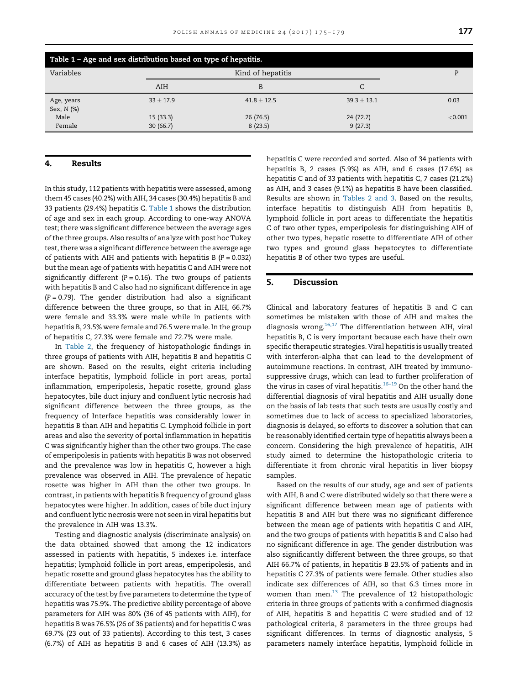| Table 1 - Age and sex distribution based on type of hepatitis. |                      |                     |                     |         |  |  |  |
|----------------------------------------------------------------|----------------------|---------------------|---------------------|---------|--|--|--|
| Variables                                                      |                      | Kind of hepatitis   |                     |         |  |  |  |
|                                                                | AIH                  | B                   | C                   |         |  |  |  |
| Age, years<br>Sex, N (%)                                       | $33 \pm 17.9$        | $41.8 \pm 12.5$     | $39.3 + 13.1$       | 0.03    |  |  |  |
| Male<br>Female                                                 | 15(33.3)<br>30(66.7) | 26(76.5)<br>8(23.5) | 24(72.7)<br>9(27.3) | < 0.001 |  |  |  |

#### 4. Results

In this study, 112 patients with hepatitis were assessed, among them 45 cases (40.2%) with AIH, 34 cases (30.4%) hepatitis B and 33 patients (29.4%) hepatitis C. Table 1 shows the distribution of age and sex in each group. According to one-way ANOVA test; there was significant difference between the average ages of the three groups. Also results of analyze with post hoc Tukey test, there was a significant difference between the average age of patients with AIH and patients with hepatitis  $B(P = 0.032)$ but the mean age of patients with hepatitis C and AIH were not significantly different ( $P = 0.16$ ). The two groups of patients with hepatitis B and C also had no significant difference in age  $(P = 0.79)$ . The gender distribution had also a significant difference between the three groups, so that in AIH, 66.7% were female and 33.3% were male while in patients with hepatitis B, 23.5% were female and 76.5 were male. In the group of hepatitis C, 27.3% were female and 72.7% were male.

In [Table 2,](#page-3-0) the frequency of histopathologic findings in three groups of patients with AIH, hepatitis B and hepatitis C are shown. Based on the results, eight criteria including interface hepatitis, lymphoid follicle in port areas, portal inflammation, emperipolesis, hepatic rosette, ground glass hepatocytes, bile duct injury and confluent lytic necrosis had significant difference between the three groups, as the frequency of Interface hepatitis was considerably lower in hepatitis B than AIH and hepatitis C. Lymphoid follicle in port areas and also the severity of portal inflammation in hepatitis C was significantly higher than the other two groups. The case of emperipolesis in patients with hepatitis B was not observed and the prevalence was low in hepatitis C, however a high prevalence was observed in AIH. The prevalence of hepatic rosette was higher in AIH than the other two groups. In contrast, in patients with hepatitis B frequency of ground glass hepatocytes were higher. In addition, cases of bile duct injury and confluent lytic necrosis were not seen in viral hepatitis but the prevalence in AIH was 13.3%.

Testing and diagnostic analysis (discriminate analysis) on the data obtained showed that among the 12 indicators assessed in patients with hepatitis, 5 indexes i.e. interface hepatitis; lymphoid follicle in port areas, emperipolesis, and hepatic rosette and ground glass hepatocytes has the ability to differentiate between patients with hepatitis. The overall accuracy of the test by five parameters to determine the type of hepatitis was 75.9%. The predictive ability percentage of above parameters for AIH was 80% (36 of 45 patients with AIH), for hepatitis B was 76.5% (26 of 36 patients) and for hepatitis C was 69.7% (23 out of 33 patients). According to this test, 3 cases (6.7%) of AIH as hepatitis B and 6 cases of AIH (13.3%) as

hepatitis C were recorded and sorted. Also of 34 patients with hepatitis B, 2 cases (5.9%) as AIH, and 6 cases (17.6%) as hepatitis C and of 33 patients with hepatitis C, 7 cases (21.2%) as AIH, and 3 cases (9.1%) as hepatitis B have been classified. Results are shown in [Tables](#page-3-0) 2 and 3. Based on the results, interface hepatitis to distinguish AIH from hepatitis B, lymphoid follicle in port areas to differentiate the hepatitis C of two other types, emperipolesis for distinguishing AIH of other two types, hepatic rosette to differentiate AIH of other two types and ground glass hepatocytes to differentiate hepatitis B of other two types are useful.

#### 5. Discussion

Clinical and laboratory features of hepatitis B and C can sometimes be mistaken with those of AIH and makes the diagnosis wrong. $16,17$  The differentiation between AIH, viral hepatitis B, C is very important because each have their own specific therapeutic strategies. Viral hepatitis is usually treated with interferon-alpha that can lead to the development of autoimmune reactions. In contrast, AIH treated by immunosuppressive drugs, which can lead to further proliferation of the virus in cases of viral hepatitis.<sup>[16](#page-4-0)–19</sup> On the other hand the differential diagnosis of viral hepatitis and AIH usually done on the basis of lab tests that such tests are usually costly and sometimes due to lack of access to specialized laboratories, diagnosis is delayed, so efforts to discover a solution that can be reasonably identified certain type of hepatitis always been a concern. Considering the high prevalence of hepatitis, AIH study aimed to determine the histopathologic criteria to differentiate it from chronic viral hepatitis in liver biopsy samples.

Based on the results of our study, age and sex of patients with AIH, B and C were distributed widely so that there were a significant difference between mean age of patients with hepatitis B and AIH but there was no significant difference between the mean age of patients with hepatitis C and AIH, and the two groups of patients with hepatitis B and C also had no significant difference in age. The gender distribution was also significantly different between the three groups, so that AIH 66.7% of patients, in hepatitis B 23.5% of patients and in hepatitis C 27.3% of patients were female. Other studies also indicate sex differences of AIH, so that 6.3 times more in women than men.<sup>13</sup> The prevalence of 12 histopathologic criteria in three groups of patients with a confirmed diagnosis of AIH, hepatitis B and hepatitis C were studied and of 12 pathological criteria, 8 parameters in the three groups had significant differences. In terms of diagnostic analysis, 5 parameters namely interface hepatitis, lymphoid follicle in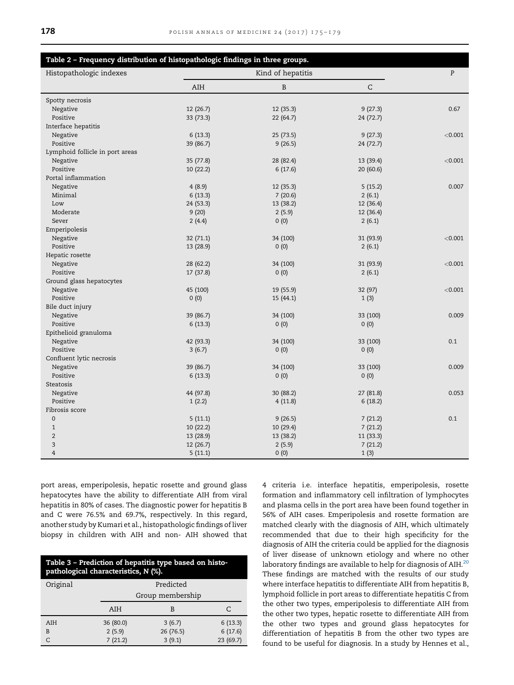<span id="page-3-0"></span>

| Table 2 - Frequency distribution of histopathologic findings in three groups. |                   |           |           |         |  |  |
|-------------------------------------------------------------------------------|-------------------|-----------|-----------|---------|--|--|
| Histopathologic indexes                                                       | Kind of hepatitis |           |           | P       |  |  |
|                                                                               | AIH               | B         | C         |         |  |  |
| Spotty necrosis                                                               |                   |           |           |         |  |  |
| Negative                                                                      | 12 (26.7)         | 12 (35.3) | 9(27.3)   | 0.67    |  |  |
| Positive                                                                      | 33 (73.3)         | 22 (64.7) | 24 (72.7) |         |  |  |
| Interface hepatitis                                                           |                   |           |           |         |  |  |
| Negative                                                                      | 6(13.3)           | 25 (73.5) | 9(27.3)   | < 0.001 |  |  |
| Positive                                                                      | 39 (86.7)         | 9(26.5)   | 24 (72.7) |         |  |  |
| Lymphoid follicle in port areas                                               |                   |           |           |         |  |  |
| Negative                                                                      | 35 (77.8)         | 28 (82.4) | 13 (39.4) | < 0.001 |  |  |
| Positive                                                                      | 10 (22.2)         | 6(17.6)   | 20(60.6)  |         |  |  |
| Portal inflammation                                                           |                   |           |           |         |  |  |
| Negative                                                                      | 4(8.9)            | 12 (35.3) | 5(15.2)   | 0.007   |  |  |
| Minimal                                                                       | 6(13.3)           | 7(20.6)   | 2(6.1)    |         |  |  |
| Low                                                                           | 24 (53.3)         | 13 (38.2) | 12 (36.4) |         |  |  |
| Moderate                                                                      | 9(20)             | 2(5.9)    | 12 (36.4) |         |  |  |
| Sever                                                                         | 2(4.4)            | 0(0)      | 2(6.1)    |         |  |  |
| Emperipolesis                                                                 |                   |           |           |         |  |  |
| Negative                                                                      | 32(71.1)          | 34 (100)  | 31 (93.9) | < 0.001 |  |  |
| Positive                                                                      | 13 (28.9)         | 0(0)      | 2(6.1)    |         |  |  |
| Hepatic rosette                                                               |                   |           |           |         |  |  |
| Negative                                                                      | 28 (62.2)         | 34 (100)  | 31 (93.9) | < 0.001 |  |  |
| Positive                                                                      | 17 (37.8)         | 0(0)      | 2(6.1)    |         |  |  |
| Ground glass hepatocytes                                                      |                   |           |           |         |  |  |
| Negative                                                                      | 45 (100)          | 19 (55.9) | 32 (97)   | < 0.001 |  |  |
| Positive                                                                      | 0(0)              | 15 (44.1) | 1(3)      |         |  |  |
| Bile duct injury                                                              |                   |           |           |         |  |  |
| Negative                                                                      | 39 (86.7)         | 34 (100)  | 33 (100)  | 0.009   |  |  |
| Positive                                                                      | 6(13.3)           | 0(0)      | 0(0)      |         |  |  |
| Epithelioid granuloma                                                         |                   |           |           |         |  |  |
| Negative                                                                      | 42 (93.3)         | 34 (100)  | 33 (100)  | 0.1     |  |  |
| Positive                                                                      | 3(6.7)            | 0(0)      | 0(0)      |         |  |  |
| Confluent lytic necrosis                                                      |                   |           |           |         |  |  |
| Negative                                                                      | 39 (86.7)         | 34 (100)  | 33 (100)  | 0.009   |  |  |
| Positive                                                                      | 6(13.3)           | 0(0)      | 0(0)      |         |  |  |
| Steatosis                                                                     |                   |           |           |         |  |  |
|                                                                               |                   |           |           | 0.053   |  |  |
| Negative<br>Positive                                                          | 44 (97.8)         | 30 (88.2) | 27 (81.8) |         |  |  |
| Fibrosis score                                                                | 1(2.2)            | 4(11.8)   | 6(18.2)   |         |  |  |
| 0                                                                             |                   |           |           |         |  |  |
|                                                                               | 5(11.1)           | 9(26.5)   | 7(21.2)   | 0.1     |  |  |
| $1\,$                                                                         | 10 (22.2)         | 10 (29.4) | 7(21.2)   |         |  |  |
| $\overline{2}$                                                                | 13 (28.9)         | 13 (38.2) | 11 (33.3) |         |  |  |
| 3                                                                             | 12 (26.7)         | 2(5.9)    | 7(21.2)   |         |  |  |
| 4                                                                             | 5(11.1)           | 0(0)      | 1(3)      |         |  |  |

port areas, emperipolesis, hepatic rosette and ground glass hepatocytes have the ability to differentiate AIH from viral hepatitis in 80% of cases. The diagnostic power for hepatitis B and C were 76.5% and 69.7%, respectively. In this regard, another study by Kumari et al., histopathologic findings of liver biopsy in children with AIH and non- AIH showed that

| Table 3 - Prediction of hepatitis type based on histo-<br>pathological characteristics, N (%). |                  |           |           |  |  |  |
|------------------------------------------------------------------------------------------------|------------------|-----------|-----------|--|--|--|
| Original                                                                                       | Predicted        |           |           |  |  |  |
|                                                                                                | Group membership |           |           |  |  |  |
|                                                                                                | AIH              | В         | C         |  |  |  |
| AIH                                                                                            | 36 (80.0)        | 3(6.7)    | 6(13.3)   |  |  |  |
| B                                                                                              | 2(5.9)           | 26 (76.5) | 6(17.6)   |  |  |  |
|                                                                                                | 7(21.2)          | 3(9.1)    | 23 (69.7) |  |  |  |

4 criteria i.e. interface hepatitis, emperipolesis, rosette formation and inflammatory cell infiltration of lymphocytes and plasma cells in the port area have been found together in 56% of AIH cases. Emperipolesis and rosette formation are matched clearly with the diagnosis of AIH, which ultimately recommended that due to their high specificity for the diagnosis of AIH the criteria could be applied for the diagnosis of liver disease of unknown etiology and where no other laboratory findings are available to help for diagnosis of AIH. $^{20}$  $^{20}$  $^{20}$ These findings are matched with the results of our study where interface hepatitis to differentiate AIH from hepatitis B, lymphoid follicle in port areas to differentiate hepatitis C from the other two types, emperipolesis to differentiate AIH from the other two types, hepatic rosette to differentiate AIH from the other two types and ground glass hepatocytes for differentiation of hepatitis B from the other two types are found to be useful for diagnosis. In a study by Hennes et al.,